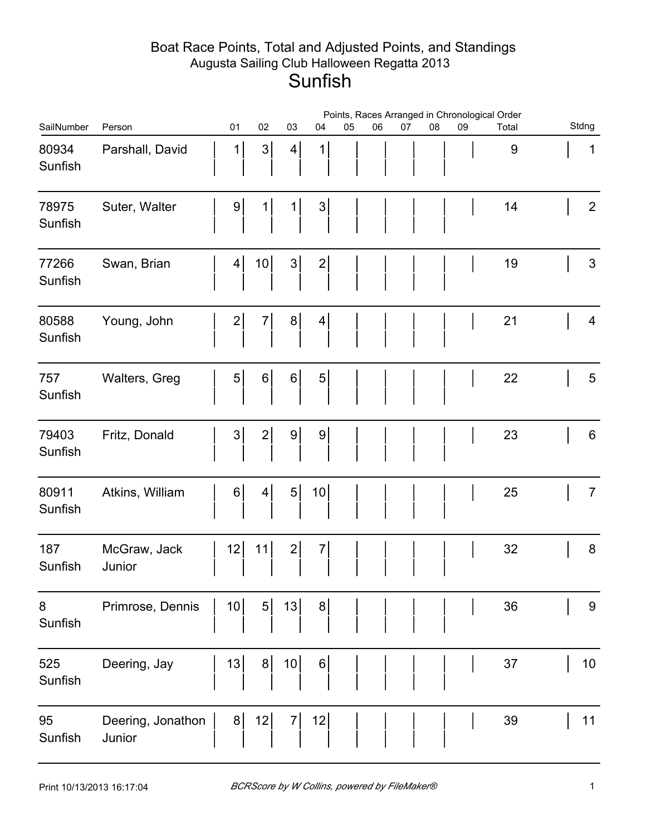## Boat Race Points, Total and Adjusted Points, and Standings Augusta Sailing Club Halloween Regatta 2013 Sunfish

|                  |                             |                |                 |                 |                 |    |    |    |    |    | Points, Races Arranged in Chronological Order |  |                  |
|------------------|-----------------------------|----------------|-----------------|-----------------|-----------------|----|----|----|----|----|-----------------------------------------------|--|------------------|
| SailNumber       | Person                      | 01             | 02              | 03              | 04              | 05 | 06 | 07 | 08 | 09 | Total                                         |  | Stdng            |
| 80934<br>Sunfish | Parshall, David             | 1              | 3 <sup>1</sup>  | $\vert 4 \vert$ | 1               |    |    |    |    |    | $\boldsymbol{9}$                              |  | $\mathbf 1$      |
| 78975<br>Sunfish | Suter, Walter               | 9              | $1\vert$        | $1\vert$        | 3 <sup>1</sup>  |    |    |    |    |    | 14                                            |  | $\overline{2}$   |
| 77266<br>Sunfish | Swan, Brian                 | 4 <sup>1</sup> | 10              | $3\vert$        | 2               |    |    |    |    |    | 19                                            |  | $\mathfrak{S}$   |
| 80588<br>Sunfish | Young, John                 | 2              | $\overline{7}$  | 8 <sup>1</sup>  | $\vert 4 \vert$ |    |    |    |    |    | 21                                            |  | 4                |
| 757<br>Sunfish   | Walters, Greg               | $\overline{5}$ | $6 \mid$        | $6 \mid$        | $\vert 5 \vert$ |    |    |    |    |    | 22                                            |  | $\overline{5}$   |
| 79403<br>Sunfish | Fritz, Donald               | 3 <sup>1</sup> | $\mathbf{2}$    | 9               | $\vert 9 \vert$ |    |    |    |    |    | 23                                            |  | 6                |
| 80911<br>Sunfish | Atkins, William             | $6 \mid$       | $\vert 4 \vert$ | $\frac{5}{ }$   | 10              |    |    |    |    |    | 25                                            |  | $\overline{7}$   |
| 187<br>Sunfish   | McGraw, Jack<br>Junior      | 12             | 11              | $2 \mid$        | $\overline{7}$  |    |    |    |    |    | 32                                            |  | 8                |
| 8<br>Sunfish     | Primrose, Dennis            | 10             | $5\vert$        | 13              | 8 <sup>1</sup>  |    |    |    |    |    | 36                                            |  | $\boldsymbol{9}$ |
| 525<br>Sunfish   | Deering, Jay                | 13             | $8\vert$        | 10              | $6\vert$        |    |    |    |    |    | 37                                            |  | 10 <sub>1</sub>  |
| 95<br>Sunfish    | Deering, Jonathon<br>Junior | 8 <sup>1</sup> | 12              | 7               | 12              |    |    |    |    |    | 39                                            |  | 11               |